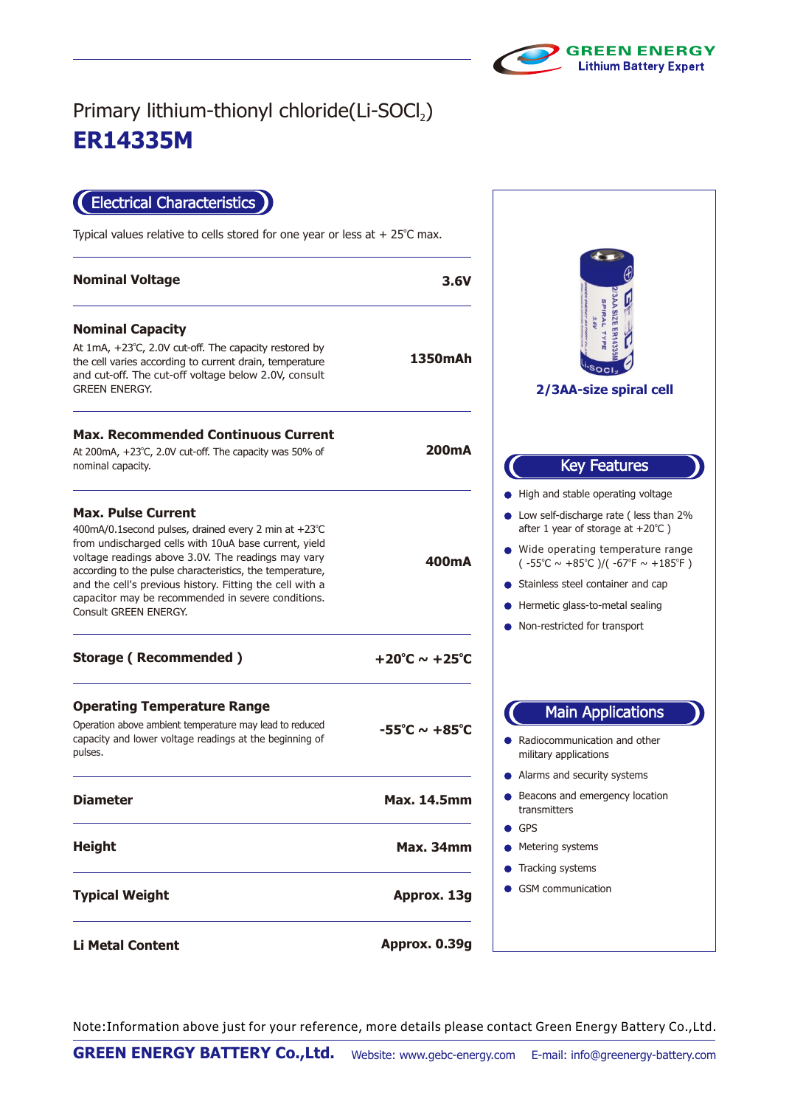

## **ER14335M** Primary lithium-thionyl chloride(Li-SOCl2)

Electrical Characteristics

Typical values relative to cells stored for one year or less at  $+25^{\circ}$ C max.

| <b>Nominal Voltage</b>                                                                                                                                                                                                                                                                                                                                                                                  | 3.6V                              |
|---------------------------------------------------------------------------------------------------------------------------------------------------------------------------------------------------------------------------------------------------------------------------------------------------------------------------------------------------------------------------------------------------------|-----------------------------------|
| <b>Nominal Capacity</b><br>At $1mA$ , $+23^{\circ}C$ , 2.0V cut-off. The capacity restored by<br>the cell varies according to current drain, temperature<br>and cut-off. The cut-off voltage below 2.0V, consult<br><b>GREEN ENERGY.</b>                                                                                                                                                                | 1350mAh                           |
| <b>Max. Recommended Continuous Current</b><br>At 200 mA, $+23^{\circ}$ C, 2.0V cut-off. The capacity was 50% of<br>nominal capacity.                                                                                                                                                                                                                                                                    | 200mA                             |
| <b>Max. Pulse Current</b><br>400mA/0.1second pulses, drained every 2 min at +23°C<br>from undischarged cells with 10uA base current, yield<br>voltage readings above 3.0V. The readings may vary<br>according to the pulse characteristics, the temperature,<br>and the cell's previous history. Fitting the cell with a<br>capacitor may be recommended in severe conditions.<br>Consult GREEN ENERGY. | 400mA                             |
| <b>Storage (Recommended)</b>                                                                                                                                                                                                                                                                                                                                                                            | $+20^{\circ}$ C ~ $+25^{\circ}$ C |
| <b>Operating Temperature Range</b><br>Operation above ambient temperature may lead to reduced<br>capacity and lower voltage readings at the beginning of<br>pulses.                                                                                                                                                                                                                                     | $-55^{\circ}$ C ~ $+85^{\circ}$ C |
| <b>Diameter</b>                                                                                                                                                                                                                                                                                                                                                                                         | <b>Max. 14.5mm</b>                |
| <b>Height</b>                                                                                                                                                                                                                                                                                                                                                                                           | $\bullet$ GPS<br><b>Max. 34mm</b> |
| <b>Typical Weight</b>                                                                                                                                                                                                                                                                                                                                                                                   | Approx. 13g                       |
| <b>Li Metal Content</b>                                                                                                                                                                                                                                                                                                                                                                                 | Approx. 0.39g                     |

**2/3AA-size spiral cell** Key Features and stable operating voltage e operating temperature range  $6^{\circ}$ C ~ +85 $^{\circ}$ C )/( -67 $^{\circ}$ F ~ +185 $^{\circ}$ F ) self-discharge rate ( less than 2% 1 year of storage at  $+20^{\circ}$ C ) hless steel container and cap netic glass-to-metal sealing restricted for transport ocommunication and other ary applications ms and security systems cons and emergency location smitters GPS ering systems king systems communication Main Applications

Note:Information above just for your reference, more details please contact Green Energy Battery Co.,Ltd.